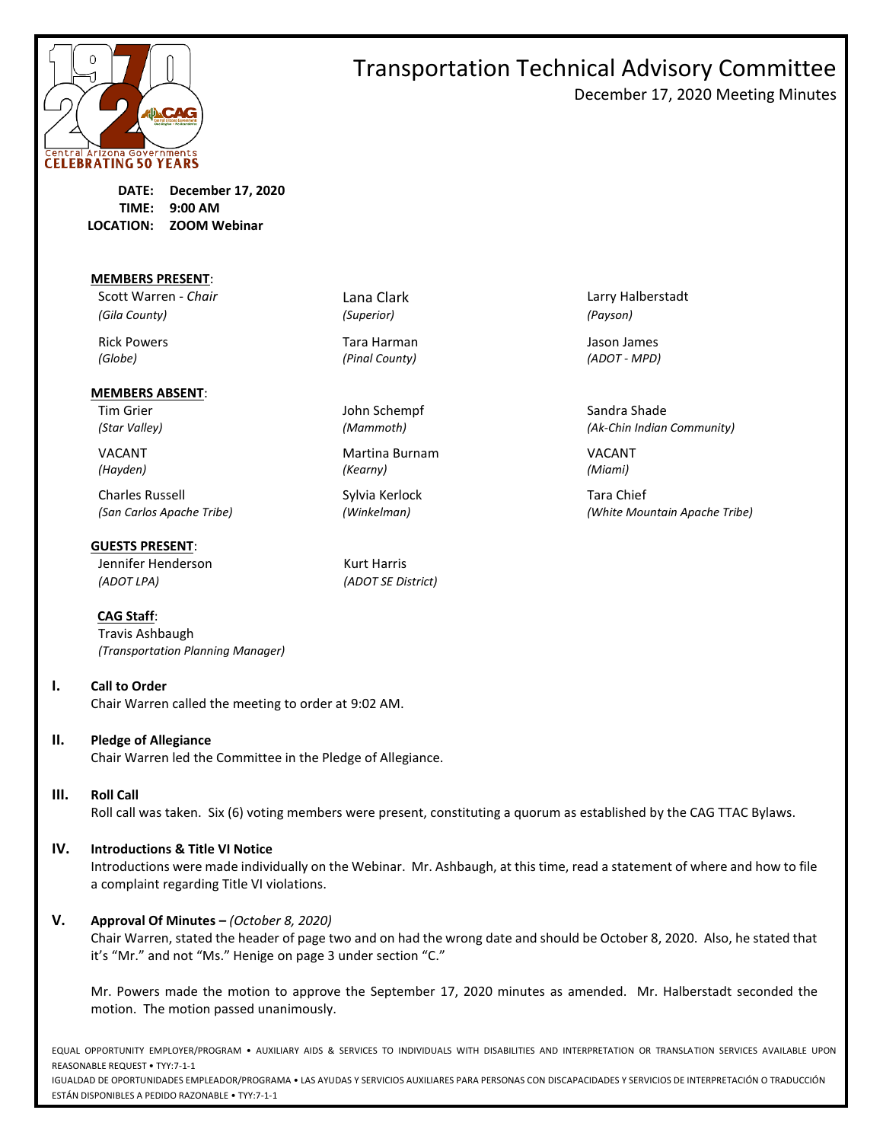

December 17, 2020 Meeting Minutes

**DATE: December 17, 2020 TIME: 9:00 AM LOCATION: ZOOM Webinar**

#### **MEMBERS PRESENT**:

Scott Warren - *Chair* **Lana Clark** Lana Clark Larry Halberstadt *(Gila County) (Superior) (Payson)*

#### **MEMBERS ABSENT**:

Charles Russell **Sylvia Kerlock** Tara Chief

**GUESTS PRESENT**: Jennifer Henderson Kurt Harris

**CAG Staff**:

Travis Ashbaugh *(Transportation Planning Manager)*

**I. Call to Order**

Chair Warren called the meeting to order at 9:02 AM.

### **II. Pledge of Allegiance**

Chair Warren led the Committee in the Pledge of Allegiance.

### **III. Roll Call**

Roll call was taken. Six (6) voting members were present, constituting a quorum as established by the CAG TTAC Bylaws.

### **IV. Introductions & Title VI Notice**

Introductions were made individually on the Webinar. Mr. Ashbaugh, at this time, read a statement of where and how to file a complaint regarding Title VI violations.

### **V. Approval Of Minutes –** *(October 8, 2020)*

Chair Warren, stated the header of page two and on had the wrong date and should be October 8, 2020. Also, he stated that it's "Mr." and not "Ms." Henige on page 3 under section "C."

Mr. Powers made the motion to approve the September 17, 2020 minutes as amended. Mr. Halberstadt seconded the motion. The motion passed unanimously.

EQUAL OPPORTUNITY EMPLOYER/PROGRAM • AUXILIARY AIDS & SERVICES TO INDIVIDUALS WITH DISABILITIES AND INTERPRETATION OR TRANSLATION SERVICES AVAILABLE UPON REASONABLE REQUEST • TYY:7-1-1

IGUALDAD DE OPORTUNIDADES EMPLEADOR/PROGRAMA • LAS AYUDAS Y SERVICIOS AUXILIARES PARA PERSONAS CON DISCAPACIDADES Y SERVICIOS DE INTERPRETACIÓN O TRADUCCIÓN ESTÁN DISPONIBLES A PEDIDO RAZONABLE • TYY:7-1-1

Tim Grier North Schempf Sandra Shade John Schempf Sandra Shade

VACANT Martina Burnam VACANT *(Hayden) (Kearny) (Miami)*

*(ADOT LPA) (ADOT SE District)*

Rick Powers Tara Harman Jason James *(Globe) (Pinal County) (ADOT - MPD)*

*(Star Valley) (Mammoth) (Ak-Chin Indian Community)*

*(San Carlos Apache Tribe) (Winkelman) (White Mountain Apache Tribe)*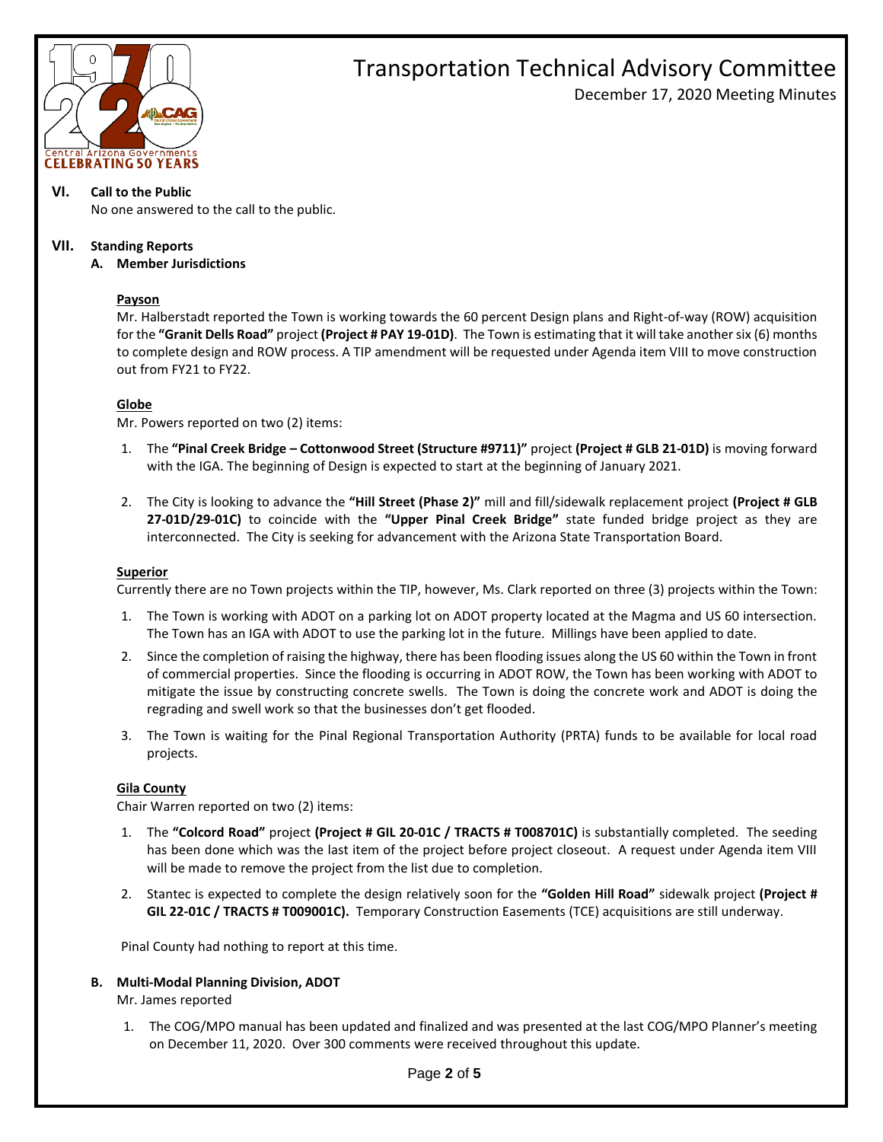

### Transportation Technical Advisory Committee December 17, 2020 Meeting Minutes

### **VI. Call to the Public**

No one answered to the call to the public.

### **VII. Standing Reports**

**A. Member Jurisdictions**

### **Payson**

Mr. Halberstadt reported the Town is working towards the 60 percent Design plans and Right-of-way (ROW) acquisition for the **"Granit Dells Road"** project **(Project # PAY 19-01D)**. The Town is estimating that it will take another six (6) months to complete design and ROW process. A TIP amendment will be requested under Agenda item VIII to move construction out from FY21 to FY22.

### **Globe**

Mr. Powers reported on two (2) items:

- 1. The **"Pinal Creek Bridge – Cottonwood Street (Structure #9711)"** project **(Project # GLB 21-01D)** is moving forward with the IGA. The beginning of Design is expected to start at the beginning of January 2021.
- 2. The City is looking to advance the **"Hill Street (Phase 2)"** mill and fill/sidewalk replacement project **(Project # GLB 27-01D/29-01C)** to coincide with the **"Upper Pinal Creek Bridge"** state funded bridge project as they are interconnected. The City is seeking for advancement with the Arizona State Transportation Board.

#### **Superior**

Currently there are no Town projects within the TIP, however, Ms. Clark reported on three (3) projects within the Town:

- 1. The Town is working with ADOT on a parking lot on ADOT property located at the Magma and US 60 intersection. The Town has an IGA with ADOT to use the parking lot in the future. Millings have been applied to date.
- 2. Since the completion of raising the highway, there has been flooding issues along the US 60 within the Town in front of commercial properties. Since the flooding is occurring in ADOT ROW, the Town has been working with ADOT to mitigate the issue by constructing concrete swells. The Town is doing the concrete work and ADOT is doing the regrading and swell work so that the businesses don't get flooded.
- 3. The Town is waiting for the Pinal Regional Transportation Authority (PRTA) funds to be available for local road projects.

### **Gila County**

Chair Warren reported on two (2) items:

- 1. The **"Colcord Road"** project **(Project # GIL 20-01C / TRACTS # T008701C)** is substantially completed. The seeding has been done which was the last item of the project before project closeout. A request under Agenda item VIII will be made to remove the project from the list due to completion.
- 2. Stantec is expected to complete the design relatively soon for the **"Golden Hill Road"** sidewalk project **(Project # GIL 22-01C / TRACTS # T009001C).** Temporary Construction Easements (TCE) acquisitions are still underway.

Pinal County had nothing to report at this time.

### **B. Multi-Modal Planning Division, ADOT**

Mr. James reported

1. The COG/MPO manual has been updated and finalized and was presented at the last COG/MPO Planner's meeting on December 11, 2020. Over 300 comments were received throughout this update.

### Page **2** of **5**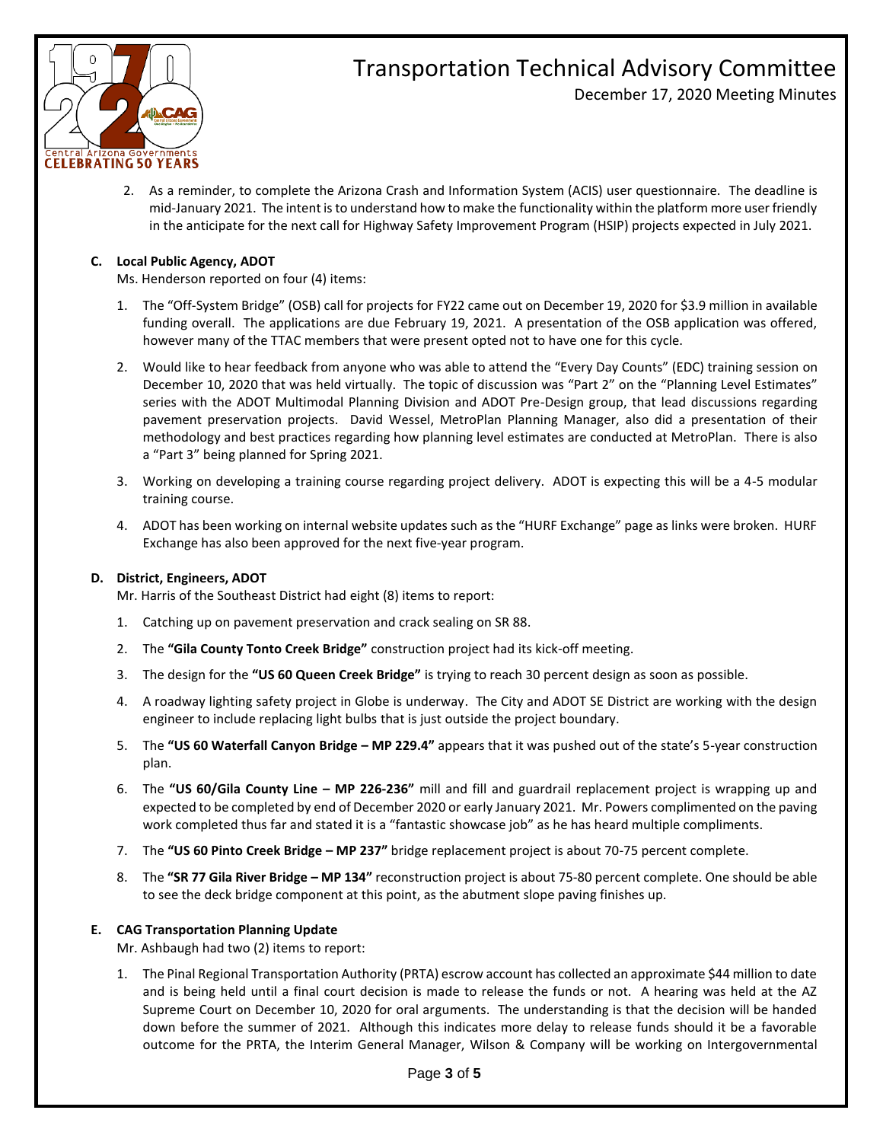

December 17, 2020 Meeting Minutes

2. As a reminder, to complete the Arizona Crash and Information System (ACIS) user questionnaire. The deadline is mid-January 2021. The intent is to understand how to make the functionality within the platform more user friendly in the anticipate for the next call for Highway Safety Improvement Program (HSIP) projects expected in July 2021.

### **C. Local Public Agency, ADOT**

Ms. Henderson reported on four (4) items:

- 1. The "Off-System Bridge" (OSB) call for projects for FY22 came out on December 19, 2020 for \$3.9 million in available funding overall. The applications are due February 19, 2021. A presentation of the OSB application was offered, however many of the TTAC members that were present opted not to have one for this cycle.
- 2. Would like to hear feedback from anyone who was able to attend the "Every Day Counts" (EDC) training session on December 10, 2020 that was held virtually. The topic of discussion was "Part 2" on the "Planning Level Estimates" series with the ADOT Multimodal Planning Division and ADOT Pre-Design group, that lead discussions regarding pavement preservation projects. David Wessel, MetroPlan Planning Manager, also did a presentation of their methodology and best practices regarding how planning level estimates are conducted at MetroPlan. There is also a "Part 3" being planned for Spring 2021.
- 3. Working on developing a training course regarding project delivery. ADOT is expecting this will be a 4-5 modular training course.
- 4. ADOT has been working on internal website updates such as the "HURF Exchange" page as links were broken. HURF Exchange has also been approved for the next five-year program.

### **D. District, Engineers, ADOT**

Mr. Harris of the Southeast District had eight (8) items to report:

- 1. Catching up on pavement preservation and crack sealing on SR 88.
- 2. The **"Gila County Tonto Creek Bridge"** construction project had its kick-off meeting.
- 3. The design for the **"US 60 Queen Creek Bridge"** is trying to reach 30 percent design as soon as possible.
- 4. A roadway lighting safety project in Globe is underway. The City and ADOT SE District are working with the design engineer to include replacing light bulbs that is just outside the project boundary.
- 5. The **"US 60 Waterfall Canyon Bridge – MP 229.4"** appears that it was pushed out of the state's 5-year construction plan.
- 6. The **"US 60/Gila County Line – MP 226-236"** mill and fill and guardrail replacement project is wrapping up and expected to be completed by end of December 2020 or early January 2021. Mr. Powers complimented on the paving work completed thus far and stated it is a "fantastic showcase job" as he has heard multiple compliments.
- 7. The **"US 60 Pinto Creek Bridge – MP 237"** bridge replacement project is about 70-75 percent complete.
- 8. The **"SR 77 Gila River Bridge – MP 134"** reconstruction project is about 75-80 percent complete. One should be able to see the deck bridge component at this point, as the abutment slope paving finishes up.

### **E. CAG Transportation Planning Update**

Mr. Ashbaugh had two (2) items to report:

1. The Pinal Regional Transportation Authority (PRTA) escrow account has collected an approximate \$44 million to date and is being held until a final court decision is made to release the funds or not. A hearing was held at the AZ Supreme Court on December 10, 2020 for oral arguments. The understanding is that the decision will be handed down before the summer of 2021. Although this indicates more delay to release funds should it be a favorable outcome for the PRTA, the Interim General Manager, Wilson & Company will be working on Intergovernmental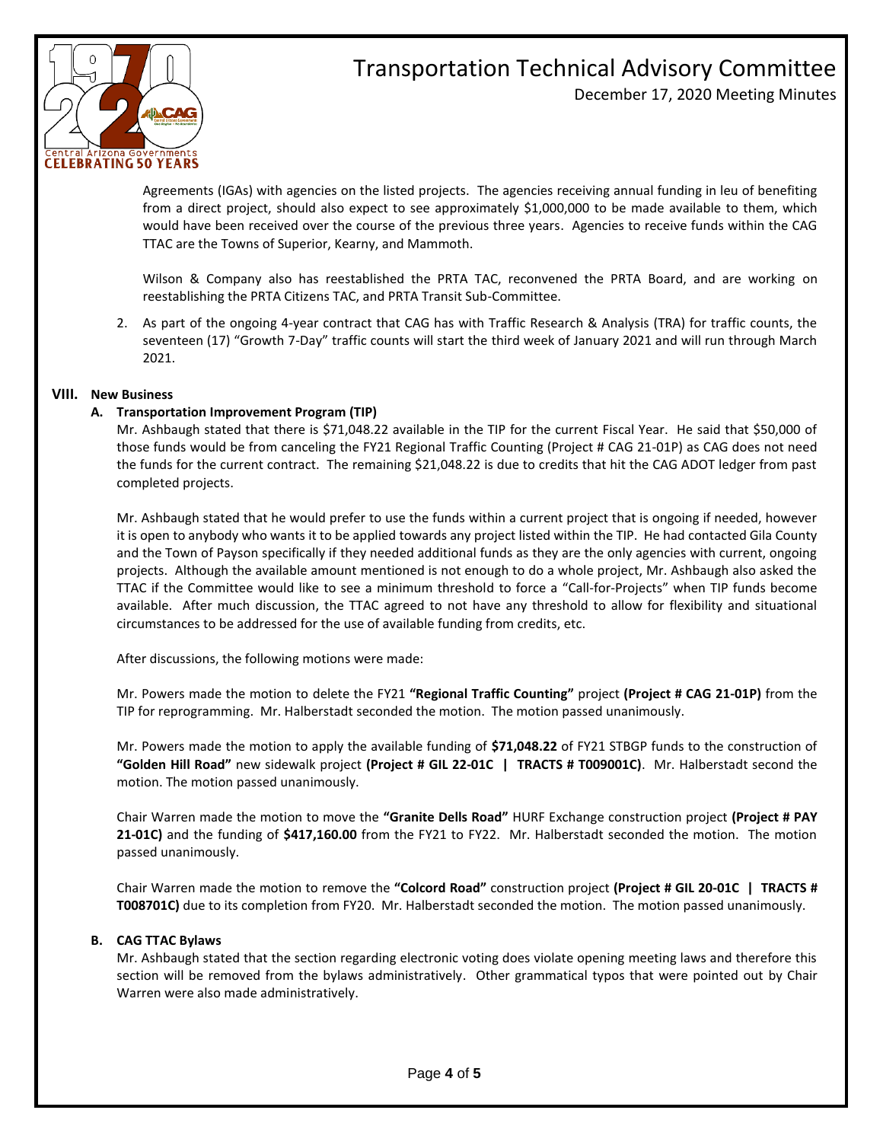

December 17, 2020 Meeting Minutes

Agreements (IGAs) with agencies on the listed projects. The agencies receiving annual funding in leu of benefiting from a direct project, should also expect to see approximately \$1,000,000 to be made available to them, which would have been received over the course of the previous three years. Agencies to receive funds within the CAG TTAC are the Towns of Superior, Kearny, and Mammoth.

Wilson & Company also has reestablished the PRTA TAC, reconvened the PRTA Board, and are working on reestablishing the PRTA Citizens TAC, and PRTA Transit Sub-Committee.

2. As part of the ongoing 4-year contract that CAG has with Traffic Research & Analysis (TRA) for traffic counts, the seventeen (17) "Growth 7-Day" traffic counts will start the third week of January 2021 and will run through March 2021.

### **VIII. New Business**

### **A. Transportation Improvement Program (TIP)**

Mr. Ashbaugh stated that there is \$71,048.22 available in the TIP for the current Fiscal Year. He said that \$50,000 of those funds would be from canceling the FY21 Regional Traffic Counting (Project # CAG 21-01P) as CAG does not need the funds for the current contract. The remaining \$21,048.22 is due to credits that hit the CAG ADOT ledger from past completed projects.

Mr. Ashbaugh stated that he would prefer to use the funds within a current project that is ongoing if needed, however it is open to anybody who wants it to be applied towards any project listed within the TIP. He had contacted Gila County and the Town of Payson specifically if they needed additional funds as they are the only agencies with current, ongoing projects. Although the available amount mentioned is not enough to do a whole project, Mr. Ashbaugh also asked the TTAC if the Committee would like to see a minimum threshold to force a "Call-for-Projects" when TIP funds become available. After much discussion, the TTAC agreed to not have any threshold to allow for flexibility and situational circumstances to be addressed for the use of available funding from credits, etc.

After discussions, the following motions were made:

Mr. Powers made the motion to delete the FY21 **"Regional Traffic Counting"** project **(Project # CAG 21-01P)** from the TIP for reprogramming. Mr. Halberstadt seconded the motion. The motion passed unanimously.

Mr. Powers made the motion to apply the available funding of **\$71,048.22** of FY21 STBGP funds to the construction of **"Golden Hill Road"** new sidewalk project **(Project # GIL 22-01C | TRACTS # T009001C)**. Mr. Halberstadt second the motion. The motion passed unanimously.

Chair Warren made the motion to move the **"Granite Dells Road"** HURF Exchange construction project **(Project # PAY 21-01C)** and the funding of **\$417,160.00** from the FY21 to FY22. Mr. Halberstadt seconded the motion. The motion passed unanimously.

Chair Warren made the motion to remove the **"Colcord Road"** construction project **(Project # GIL 20-01C | TRACTS # T008701C)** due to its completion from FY20. Mr. Halberstadt seconded the motion. The motion passed unanimously.

### **B. CAG TTAC Bylaws**

Mr. Ashbaugh stated that the section regarding electronic voting does violate opening meeting laws and therefore this section will be removed from the bylaws administratively. Other grammatical typos that were pointed out by Chair Warren were also made administratively.